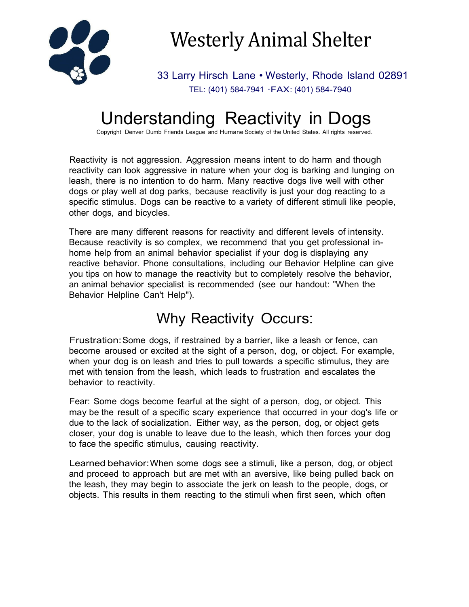

# Westerly Animal Shelter

33 Larry Hirsch Lane • Westerly, Rhode Island 02891 TEL: (401) 584-7941 ·FAX: (401) 584-7940

## Understanding Reactivity in Dogs

Copyright Denver Dumb Friends League and Humane Society of the United States. All rights reserved.

Reactivity is not aggression. Aggression means intent to do harm and though reactivity can look aggressive in nature when your dog is barking and lunging on leash, there is no intention to do harm. Many reactive dogs live well with other dogs or play well at dog parks, because reactivity is just your dog reacting to a specific stimulus. Dogs can be reactive to a variety of different stimuli like people, other dogs, and bicycles.

There are many different reasons for reactivity and different levels of intensity. Because reactivity is so complex, we recommend that you get professional inhome help from an animal behavior specialist if your dog is displaying any reactive behavior. Phone consultations, including our Behavior Helpline can give you tips on how to manage the reactivity but to completely resolve the behavior, an animal behavior specialist is recommended (see our handout: "When the Behavior Helpline Can't Help").

#### Why Reactivity Occurs:

Frustration:Some dogs, if restrained by a barrier, like a leash or fence, can become aroused or excited at the sight of a person, dog, or object. For example, when your dog is on leash and tries to pull towards a specific stimulus, they are met with tension from the leash, which leads to frustration and escalates the behavior to reactivity.

Fear: Some dogs become fearful at the sight of a person, dog, or object. This may be the result of a specific scary experience that occurred in your dog's life or due to the lack of socialization. Either way, as the person, dog, or object gets closer, your dog is unable to leave due to the leash, which then forces your dog to face the specific stimulus, causing reactivity.

Learned behavior:When some dogs see a stimuli, like a person, dog, or object and proceed to approach but are met with an aversive, like being pulled back on the leash, they may begin to associate the jerk on leash to the people, dogs, or objects. This results in them reacting to the stimuli when first seen, which often